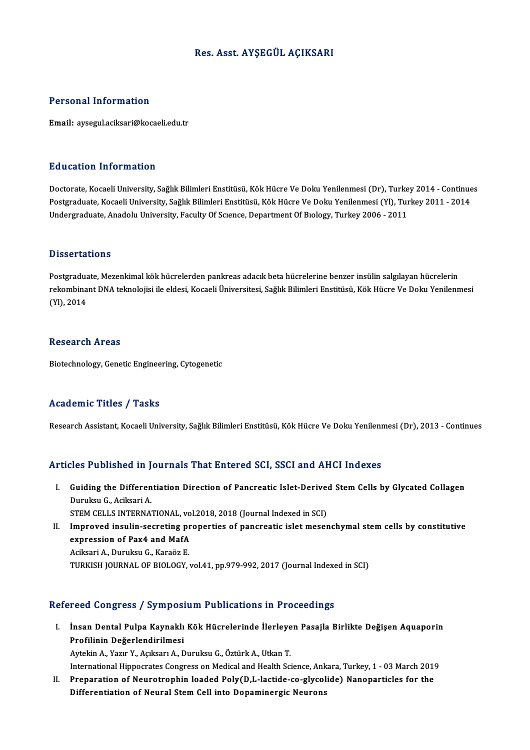# Res. Asst. AYŞEGÜL AÇIKSARI

### Personal Information

Email: aysegul.aciksari@kocaeli.edu.tr

## Education Information

<mark>Education Information</mark><br>Doctorate, Kocaeli University, Sağlık Bilimleri Enstitüsü, Kök Hücre Ve Doku Yenilenmesi (Dr), Turkey 2014 - Continues<br>Postsraduate Kosaeli University, Sağlık Bilimleri Enstitüsü, Kök Hücre Ve Doku Pu u sutrom minominusion<br>Doctorate, Kocaeli University, Sağlık Bilimleri Enstitüsü, Kök Hücre Ve Doku Yenilenmesi (Dr), Turkey 2014 - Continue<br>Postgraduate, Kocaeli University, Sağlık Bilimleri Enstitüsü, Kök Hücre Ve Doku Doctorate, Kocaeli University, Sağlık Bilimleri Enstitüsü, Kök Hücre Ve Doku Yenilenmesi (Dr), Turke<br>Postgraduate, Kocaeli University, Sağlık Bilimleri Enstitüsü, Kök Hücre Ve Doku Yenilenmesi (Yl), Tur<br>Undergraduate, Anad Undergraduate, Anadolu University, Faculty Of Science, Department Of Biology, Turkey 2006 - 2011<br>Dissertations

Dissertations<br>Postgraduate, Mezenkimal kök hücrelerden pankreas adacık beta hücrelerine benzer insülin salgılayan hücrelerin<br>rekombinant DNA telmelejisi ile eldesi. Kosseli Üniversitesi, Seğlık Bilimleri Enstitüsü, Kök Hüc Bitssof tatronis<br>Postgraduate, Mezenkimal kök hücrelerden pankreas adacık beta hücrelerine benzer insülin salgılayan hücrelerin<br>CYD, 2014 Postgradua<br>rekombina<br>(Yl), 2014 (YI), 2014<br>Research Areas

Biotechnology, Genetic Engineering, Cytogenetic

### Academic Titles / Tasks

Research Assistant, Kocaeli University, Sağlık Bilimleri Enstitüsü, Kök Hücre Ve Doku Yenilenmesi (Dr), 2013 - Continues

### Articles Published in Journals That Entered SCI, SSCI and AHCI Indexes

- rticles Published in Journals That Entered SCI, SSCI and AHCI Indexes<br>I. Guiding the Differentiation Direction of Pancreatic Islet-Derived Stem Cells by Glycated Collagen<br>Dumber C. Asikaari A STED THEOREM CHE DIFFERENT CHE IS NOTHING.<br>Duruksu G., Aciksari A.<br>STEM CELLS INTERNA. Guiding the Differentiation Direction of Pancreatic Islet-Derive<br>Duruksu G., Aciksari A.<br>STEM CELLS INTERNATIONAL, vol.2018, 2018 (Journal Indexed in SCI)<br>Impreyed inculin escreting preperties of pangreatis islet messy Duruksu G., Aciksari A.<br>STEM CELLS INTERNATIONAL, vol.2018, 2018 (Journal Indexed in SCI)<br>II. Improved insulin-secreting properties of pancreatic islet mesenchymal stem cells by constitutive<br>avancesian of Pax4 and MafA.
- STEM CELLS INTERNATIONAL, vo<br>Improved insulin-secreting pr<br>expression of Pax4 and MafA Improved insulin-secreting pl<br>expression of Pax4 and MafA<br>Aciksari A., Duruksu G., Karaöz E.<br>TURKISH JOURNAL OF RIOLOCY

expression of Pax4 and MafA<br>Aciksari A., Duruksu G., Karaöz E.<br>TURKISH JOURNAL OF BIOLOGY, vol.41, pp.979-992, 2017 (Journal Indexed in SCI)

# Refereed Congress / Symposium Publications in Proceedings

- efereed Congress / Symposium Publications in Proceedings<br>I. İnsan Dental Pulpa Kaynaklı Kök Hücrelerinde İlerleyen Pasajla Birlikte Değişen Aquaporin<br>Prefilipin Değerlendirilmesi Insan Dental Pulpa Kaynaklı<br>Profilinin Değerlendirilmesi<br>Autolin A. Yazın V. Askasın A. F Profilinin Değerlendirilmesi<br>Aytekin A., Yazır Y., Açıksarı A., Duruksu G., Öztürk A., Utkan T. Profilinin Değerlendirilmesi<br>Aytekin A., Yazır Y., Açıksarı A., Duruksu G., Öztürk A., Utkan T.<br>International Hippocrates Congress on Medical and Health Science, Ankara, Turkey, 1 - 03 March 2019<br>Preperation of Nouvetrophi
- Aytekin A., Yazır Y., Açıksarı A., Duruksu G., Öztürk A., Utkan T.<br>International Hippocrates Congress on Medical and Health Science, Ankara, Turkey, 1 03 March 2019<br>II. Preparation of Neurotrophin loaded Poly(D,L-lactide International Hippocrates Congress on Medical and Health Science, Ank<br>Preparation of Neurotrophin loaded Poly(D,L-lactide-co-glycol<br>Differentiation of Neural Stem Cell into Dopaminergic Neurons